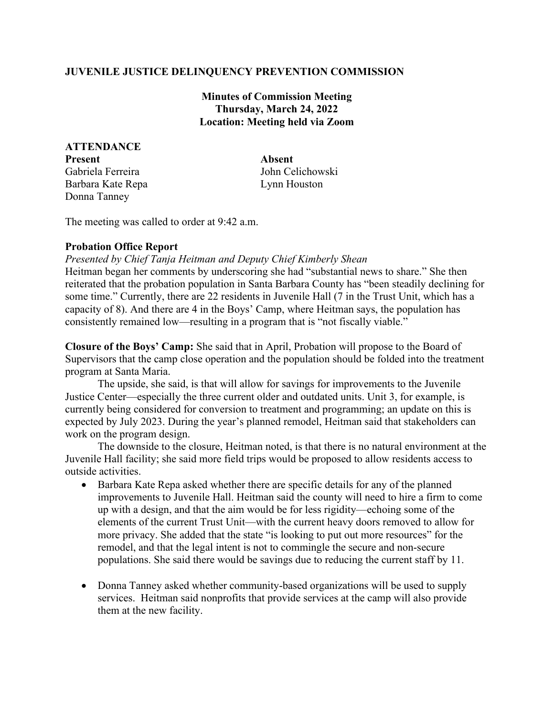## **JUVENILE JUSTICE DELINQUENCY PREVENTION COMMISSION**

**Minutes of Commission Meeting Thursday, March 24, 2022 Location: Meeting held via Zoom**

**ATTENDANCE Present Absent** Gabriela Ferreira John Celichowski Barbara Kate Repa Lynn Houston Donna Tanney

The meeting was called to order at 9:42 a.m.

## **Probation Office Report**

*Presented by Chief Tanja Heitman and Deputy Chief Kimberly Shean*

Heitman began her comments by underscoring she had "substantial news to share." She then reiterated that the probation population in Santa Barbara County has "been steadily declining for some time." Currently, there are 22 residents in Juvenile Hall (7 in the Trust Unit, which has a capacity of 8). And there are 4 in the Boys' Camp, where Heitman says, the population has consistently remained low—resulting in a program that is "not fiscally viable."

**Closure of the Boys' Camp:** She said that in April, Probation will propose to the Board of Supervisors that the camp close operation and the population should be folded into the treatment program at Santa Maria.

The upside, she said, is that will allow for savings for improvements to the Juvenile Justice Center—especially the three current older and outdated units. Unit 3, for example, is currently being considered for conversion to treatment and programming; an update on this is expected by July 2023. During the year's planned remodel, Heitman said that stakeholders can work on the program design.

The downside to the closure, Heitman noted, is that there is no natural environment at the Juvenile Hall facility; she said more field trips would be proposed to allow residents access to outside activities.

- Barbara Kate Repa asked whether there are specific details for any of the planned improvements to Juvenile Hall. Heitman said the county will need to hire a firm to come up with a design, and that the aim would be for less rigidity—echoing some of the elements of the current Trust Unit—with the current heavy doors removed to allow for more privacy. She added that the state "is looking to put out more resources" for the remodel, and that the legal intent is not to commingle the secure and non-secure populations. She said there would be savings due to reducing the current staff by 11.
- Donna Tanney asked whether community-based organizations will be used to supply services. Heitman said nonprofits that provide services at the camp will also provide them at the new facility.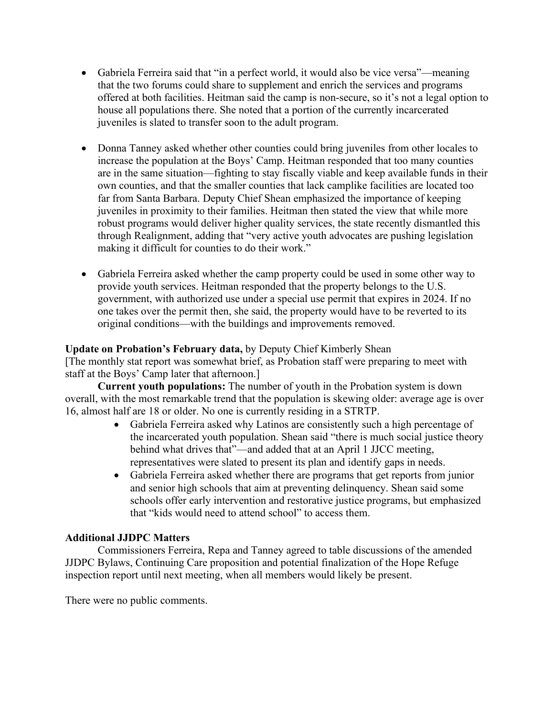- Gabriela Ferreira said that "in a perfect world, it would also be vice versa"—meaning that the two forums could share to supplement and enrich the services and programs offered at both facilities. Heitman said the camp is non-secure, so it's not a legal option to house all populations there. She noted that a portion of the currently incarcerated juveniles is slated to transfer soon to the adult program.
- Donna Tanney asked whether other counties could bring juveniles from other locales to increase the population at the Boys' Camp. Heitman responded that too many counties are in the same situation—fighting to stay fiscally viable and keep available funds in their own counties, and that the smaller counties that lack camplike facilities are located too far from Santa Barbara. Deputy Chief Shean emphasized the importance of keeping juveniles in proximity to their families. Heitman then stated the view that while more robust programs would deliver higher quality services, the state recently dismantled this through Realignment, adding that "very active youth advocates are pushing legislation making it difficult for counties to do their work."
- Gabriela Ferreira asked whether the camp property could be used in some other way to provide youth services. Heitman responded that the property belongs to the U.S. government, with authorized use under a special use permit that expires in 2024. If no one takes over the permit then, she said, the property would have to be reverted to its original conditions—with the buildings and improvements removed.

## **Update on Probation's February data,** by Deputy Chief Kimberly Shean

[The monthly stat report was somewhat brief, as Probation staff were preparing to meet with staff at the Boys' Camp later that afternoon.]

**Current youth populations:** The number of youth in the Probation system is down overall, with the most remarkable trend that the population is skewing older: average age is over 16, almost half are 18 or older. No one is currently residing in a STRTP.

- Gabriela Ferreira asked why Latinos are consistently such a high percentage of the incarcerated youth population. Shean said "there is much social justice theory behind what drives that"—and added that at an April 1 JJCC meeting, representatives were slated to present its plan and identify gaps in needs.
- Gabriela Ferreira asked whether there are programs that get reports from junior and senior high schools that aim at preventing delinquency. Shean said some schools offer early intervention and restorative justice programs, but emphasized that "kids would need to attend school" to access them.

## **Additional JJDPC Matters**

Commissioners Ferreira, Repa and Tanney agreed to table discussions of the amended JJDPC Bylaws, Continuing Care proposition and potential finalization of the Hope Refuge inspection report until next meeting, when all members would likely be present.

There were no public comments.